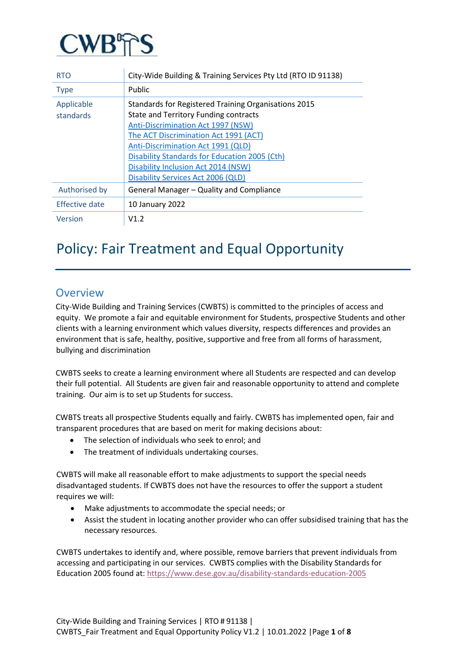

| <b>RTO</b>              | City-Wide Building & Training Services Pty Ltd (RTO ID 91138)                                                                                                                                                                                                                                                                                    |
|-------------------------|--------------------------------------------------------------------------------------------------------------------------------------------------------------------------------------------------------------------------------------------------------------------------------------------------------------------------------------------------|
| <b>Type</b>             | Public                                                                                                                                                                                                                                                                                                                                           |
| Applicable<br>standards | Standards for Registered Training Organisations 2015<br>State and Territory Funding contracts<br>Anti-Discrimination Act 1997 (NSW)<br>The ACT Discrimination Act 1991 (ACT)<br>Anti-Discrimination Act 1991 (QLD)<br>Disability Standards for Education 2005 (Cth)<br>Disability Inclusion Act 2014 (NSW)<br>Disability Services Act 2006 (QLD) |
| Authorised by           | General Manager - Quality and Compliance                                                                                                                                                                                                                                                                                                         |
| Effective date          | 10 January 2022                                                                                                                                                                                                                                                                                                                                  |
| Version                 | V1.2                                                                                                                                                                                                                                                                                                                                             |

# Policy: Fair Treatment and Equal Opportunity

## **Overview**

City-Wide Building and Training Services (CWBTS) is committed to the principles of access and equity. We promote a fair and equitable environment for Students, prospective Students and other clients with a learning environment which values diversity, respects differences and provides an environment that is safe, healthy, positive, supportive and free from all forms of harassment, bullying and discrimination

CWBTS seeks to create a learning environment where all Students are respected and can develop their full potential. All Students are given fair and reasonable opportunity to attend and complete training. Our aim is to set up Students for success.

CWBTS treats all prospective Students equally and fairly. CWBTS has implemented open, fair and transparent procedures that are based on merit for making decisions about:

- The selection of individuals who seek to enrol; and
- The treatment of individuals undertaking courses.

CWBTS will make all reasonable effort to make adjustments to support the special needs disadvantaged students. If CWBTS does not have the resources to offer the support a student requires we will:

- Make adjustments to accommodate the special needs; or
- Assist the student in locating another provider who can offer subsidised training that has the necessary resources.

CWBTS undertakes to identify and, where possible, remove barriers that prevent individuals from accessing and participating in our services. CWBTS complies with the Disability Standards for Education 2005 found at:<https://www.dese.gov.au/disability-standards-education-2005>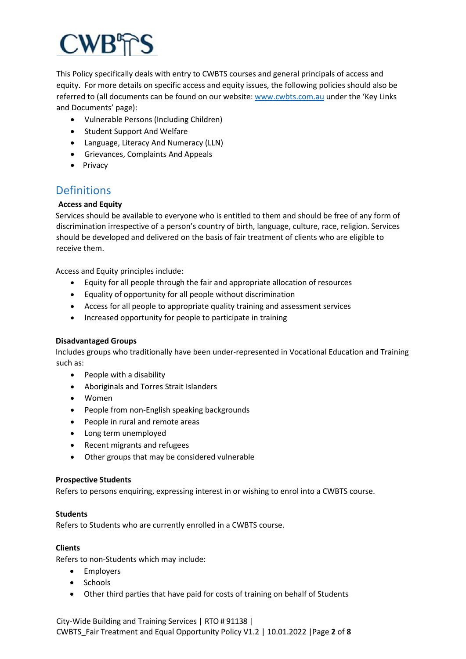This Policy specifically deals with entry to CWBTS courses and general principals of access and equity. For more details on specific access and equity issues, the following policies should also be referred to (all documents can be found on our website[: www.cwbts.com.au](http://www.cwbts.com.au/) under the 'Key Links and Documents' page):

- Vulnerable Persons (Including Children)
- Student Support And Welfare
- Language, Literacy And Numeracy (LLN)
- Grievances, Complaints And Appeals
- Privacy

## **Definitions**

### **Access and Equity**

Services should be available to everyone who is entitled to them and should be free of any form of discrimination irrespective of a person's country of birth, language, culture, race, religion. Services should be developed and delivered on the basis of fair treatment of clients who are eligible to receive them.

Access and Equity principles include:

- Equity for all people through the fair and appropriate allocation of resources
- Equality of opportunity for all people without discrimination
- Access for all people to appropriate quality training and assessment services
- Increased opportunity for people to participate in training

#### **Disadvantaged Groups**

Includes groups who traditionally have been under-represented in Vocational Education and Training such as:

- People with a disability
- Aboriginals and Torres Strait Islanders
- Women
- People from non-English speaking backgrounds
- People in rural and remote areas
- Long term unemployed
- Recent migrants and refugees
- Other groups that may be considered vulnerable

#### **Prospective Students**

Refers to persons enquiring, expressing interest in or wishing to enrol into a CWBTS course.

#### **Students**

Refers to Students who are currently enrolled in a CWBTS course.

#### **Clients**

Refers to non-Students which may include:

- Employers
- Schools
- Other third parties that have paid for costs of training on behalf of Students

City-Wide Building and Training Services | RTO # 91138 | CWBTS\_Fair Treatment and Equal Opportunity Policy V1.2 | 10.01.2022 |Page **2** of **8**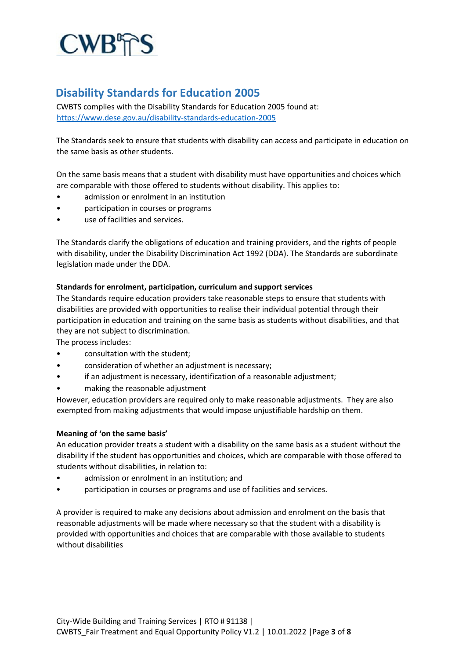

# **Disability Standards for Education 2005**

CWBTS complies with the Disability Standards for Education 2005 found at: <https://www.dese.gov.au/disability-standards-education-2005>

The Standards seek to ensure that students with disability can access and participate in education on the same basis as other students.

On the same basis means that a student with disability must have opportunities and choices which are comparable with those offered to students without disability. This applies to:

- admission or enrolment in an institution
- participation in courses or programs
- use of facilities and services.

The Standards clarify the obligations of education and training providers, and the rights of people with disability, under the Disability Discrimination Act 1992 (DDA). The Standards are subordinate legislation made under the DDA.

#### **Standards for enrolment, participation, curriculum and support services**

The Standards require education providers take reasonable steps to ensure that students with disabilities are provided with opportunities to realise their individual potential through their participation in education and training on the same basis as students without disabilities, and that they are not subject to discrimination.

The process includes:

- consultation with the student;
- consideration of whether an adjustment is necessary;
- if an adjustment is necessary, identification of a reasonable adjustment;
- making the reasonable adjustment

However, education providers are required only to make reasonable adjustments. They are also exempted from making adjustments that would impose unjustifiable hardship on them.

#### **Meaning of 'on the same basis'**

An education provider treats a student with a disability on the same basis as a student without the disability if the student has opportunities and choices, which are comparable with those offered to students without disabilities, in relation to:

- admission or enrolment in an institution; and
- participation in courses or programs and use of facilities and services.

A provider is required to make any decisions about admission and enrolment on the basis that reasonable adjustments will be made where necessary so that the student with a disability is provided with opportunities and choices that are comparable with those available to students without disabilities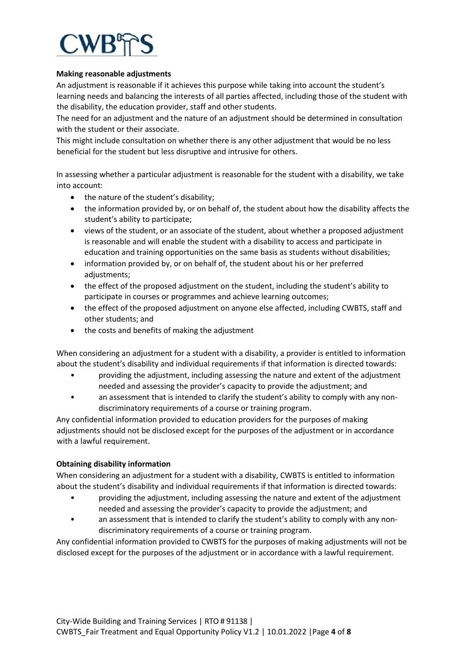

#### **Making reasonable adjustments**

An adjustment is reasonable if it achieves this purpose while taking into account the student's learning needs and balancing the interests of all parties affected, including those of the student with the disability, the education provider, staff and other students.

The need for an adjustment and the nature of an adjustment should be determined in consultation with the student or their associate.

This might include consultation on whether there is any other adjustment that would be no less beneficial for the student but less disruptive and intrusive for others.

In assessing whether a particular adjustment is reasonable for the student with a disability, we take into account:

- the nature of the student's disability;
- the information provided by, or on behalf of, the student about how the disability affects the student's ability to participate;
- views of the student, or an associate of the student, about whether a proposed adjustment is reasonable and will enable the student with a disability to access and participate in education and training opportunities on the same basis as students without disabilities;
- information provided by, or on behalf of, the student about his or her preferred adjustments;
- the effect of the proposed adjustment on the student, including the student's ability to participate in courses or programmes and achieve learning outcomes;
- the effect of the proposed adjustment on anyone else affected, including CWBTS, staff and other students; and
- the costs and benefits of making the adjustment

When considering an adjustment for a student with a disability, a provider is entitled to information about the student's disability and individual requirements if that information is directed towards:

- providing the adjustment, including assessing the nature and extent of the adjustment needed and assessing the provider's capacity to provide the adjustment; and
- an assessment that is intended to clarify the student's ability to comply with any nondiscriminatory requirements of a course or training program.

Any confidential information provided to education providers for the purposes of making adjustments should not be disclosed except for the purposes of the adjustment or in accordance with a lawful requirement.

#### **Obtaining disability information**

When considering an adjustment for a student with a disability, CWBTS is entitled to information about the student's disability and individual requirements if that information is directed towards:

- providing the adjustment, including assessing the nature and extent of the adjustment needed and assessing the provider's capacity to provide the adjustment; and
- an assessment that is intended to clarify the student's ability to comply with any nondiscriminatory requirements of a course or training program.

Any confidential information provided to CWBTS for the purposes of making adjustments will not be disclosed except for the purposes of the adjustment or in accordance with a lawful requirement.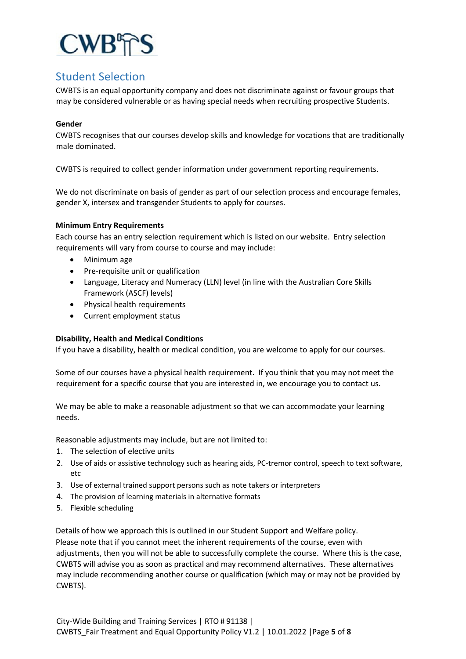

# Student Selection

CWBTS is an equal opportunity company and does not discriminate against or favour groups that may be considered vulnerable or as having special needs when recruiting prospective Students.

#### **Gender**

CWBTS recognises that our courses develop skills and knowledge for vocations that are traditionally male dominated.

CWBTS is required to collect gender information under government reporting requirements.

We do not discriminate on basis of gender as part of our selection process and encourage females, gender X, intersex and transgender Students to apply for courses.

#### **Minimum Entry Requirements**

Each course has an entry selection requirement which is listed on our website. Entry selection requirements will vary from course to course and may include:

- Minimum age
- Pre-requisite unit or qualification
- Language, Literacy and Numeracy (LLN) level (in line with the Australian Core Skills Framework (ASCF) levels)
- Physical health requirements
- Current employment status

#### **Disability, Health and Medical Conditions**

If you have a disability, health or medical condition, you are welcome to apply for our courses.

Some of our courses have a physical health requirement. If you think that you may not meet the requirement for a specific course that you are interested in, we encourage you to contact us.

We may be able to make a reasonable adjustment so that we can accommodate your learning needs.

Reasonable adjustments may include, but are not limited to:

- 1. The selection of elective units
- 2. Use of aids or assistive technology such as hearing aids, PC-tremor control, speech to text software, etc
- 3. Use of external trained support persons such as note takers or interpreters
- 4. The provision of learning materials in alternative formats
- 5. Flexible scheduling

Details of how we approach this is outlined in our Student Support and Welfare policy. Please note that if you cannot meet the inherent requirements of the course, even with adjustments, then you will not be able to successfully complete the course. Where this is the case, CWBTS will advise you as soon as practical and may recommend alternatives. These alternatives may include recommending another course or qualification (which may or may not be provided by CWBTS).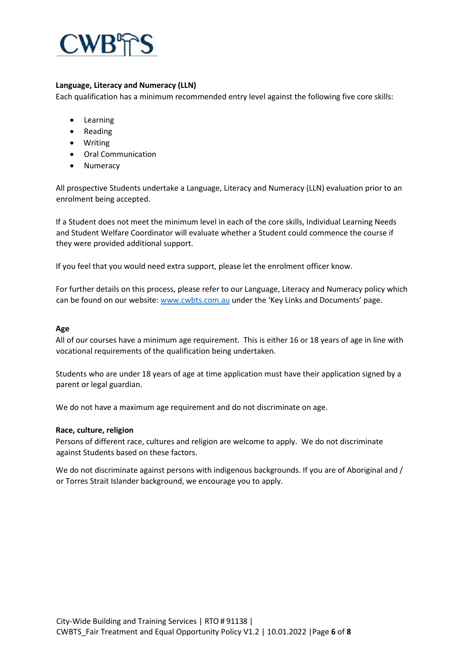

#### **Language, Literacy and Numeracy (LLN)**

Each qualification has a minimum recommended entry level against the following five core skills:

- Learning
- Reading
- Writing
- Oral Communication
- Numeracy

All prospective Students undertake a Language, Literacy and Numeracy (LLN) evaluation prior to an enrolment being accepted.

If a Student does not meet the minimum level in each of the core skills, Individual Learning Needs and Student Welfare Coordinator will evaluate whether a Student could commence the course if they were provided additional support.

If you feel that you would need extra support, please let the enrolment officer know.

For further details on this process, please refer to our Language, Literacy and Numeracy policy which can be found on our website: [www.cwbts.com.au](http://www.cwbts.com.au/) under the 'Key Links and Documents' page.

#### **Age**

All of our courses have a minimum age requirement. This is either 16 or 18 years of age in line with vocational requirements of the qualification being undertaken.

Students who are under 18 years of age at time application must have their application signed by a parent or legal guardian.

We do not have a maximum age requirement and do not discriminate on age.

#### **Race, culture, religion**

Persons of different race, cultures and religion are welcome to apply. We do not discriminate against Students based on these factors.

We do not discriminate against persons with indigenous backgrounds. If you are of Aboriginal and / or Torres Strait Islander background, we encourage you to apply.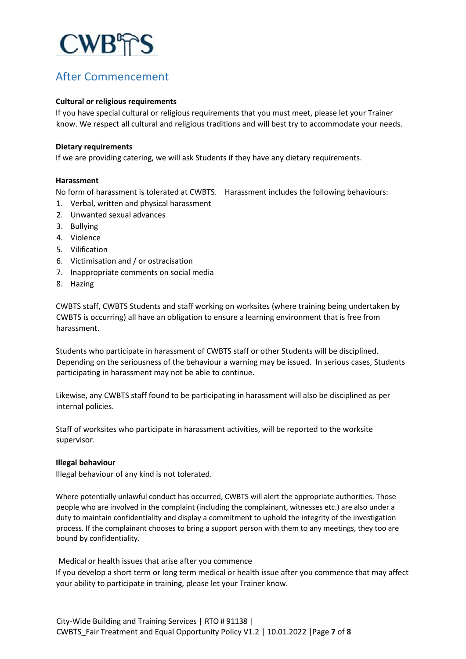

# After Commencement

#### **Cultural or religious requirements**

If you have special cultural or religious requirements that you must meet, please let your Trainer know. We respect all cultural and religious traditions and will best try to accommodate your needs.

#### **Dietary requirements**

If we are providing catering, we will ask Students if they have any dietary requirements.

#### **Harassment**

No form of harassment is tolerated at CWBTS. Harassment includes the following behaviours:

- 1. Verbal, written and physical harassment
- 2. Unwanted sexual advances
- 3. Bullying
- 4. Violence
- 5. Vilification
- 6. Victimisation and / or ostracisation
- 7. Inappropriate comments on social media
- 8. Hazing

CWBTS staff, CWBTS Students and staff working on worksites (where training being undertaken by CWBTS is occurring) all have an obligation to ensure a learning environment that is free from harassment.

Students who participate in harassment of CWBTS staff or other Students will be disciplined. Depending on the seriousness of the behaviour a warning may be issued. In serious cases, Students participating in harassment may not be able to continue.

Likewise, any CWBTS staff found to be participating in harassment will also be disciplined as per internal policies.

Staff of worksites who participate in harassment activities, will be reported to the worksite supervisor.

#### **Illegal behaviour**

Illegal behaviour of any kind is not tolerated.

Where potentially unlawful conduct has occurred, CWBTS will alert the appropriate authorities. Those people who are involved in the complaint (including the complainant, witnesses etc.) are also under a duty to maintain confidentiality and display a commitment to uphold the integrity of the investigation process. If the complainant chooses to bring a support person with them to any meetings, they too are bound by confidentiality.

Medical or health issues that arise after you commence

If you develop a short term or long term medical or health issue after you commence that may affect your ability to participate in training, please let your Trainer know.